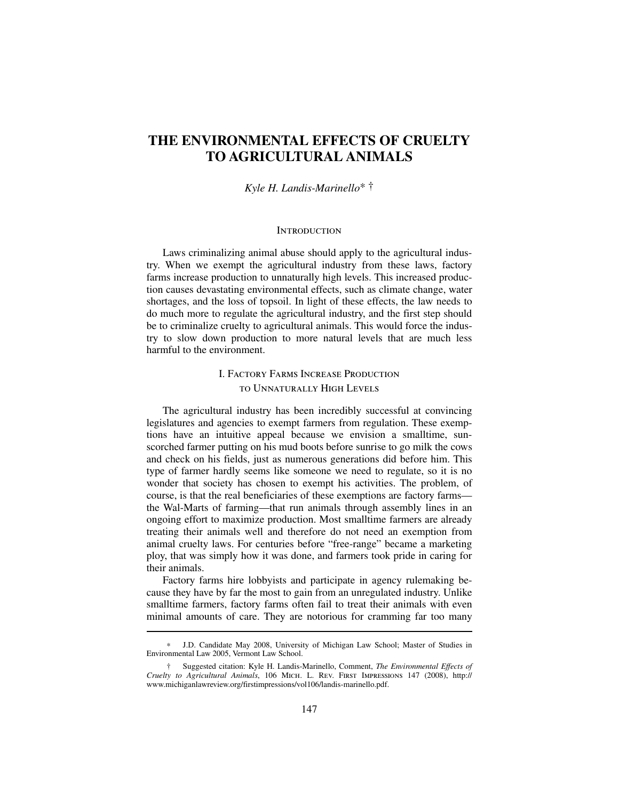# **THE ENVIRONMENTAL EFFECTS OF CRUELTY TO AGRICULTURAL ANIMALS**

#### *Kyle H. Landis-Marinello*∗ †

#### **INTRODUCTION**

Laws criminalizing animal abuse should apply to the agricultural industry. When we exempt the agricultural industry from these laws, factory farms increase production to unnaturally high levels. This increased production causes devastating environmental effects, such as climate change, water shortages, and the loss of topsoil. In light of these effects, the law needs to do much more to regulate the agricultural industry, and the first step should be to criminalize cruelty to agricultural animals. This would force the industry to slow down production to more natural levels that are much less harmful to the environment.

## I. Factory Farms Increase Production to Unnaturally High Levels

The agricultural industry has been incredibly successful at convincing legislatures and agencies to exempt farmers from regulation. These exemptions have an intuitive appeal because we envision a smalltime, sunscorched farmer putting on his mud boots before sunrise to go milk the cows and check on his fields, just as numerous generations did before him. This type of farmer hardly seems like someone we need to regulate, so it is no wonder that society has chosen to exempt his activities. The problem, of course, is that the real beneficiaries of these exemptions are factory farms the Wal-Marts of farming—that run animals through assembly lines in an ongoing effort to maximize production. Most smalltime farmers are already treating their animals well and therefore do not need an exemption from animal cruelty laws. For centuries before "free-range" became a marketing ploy, that was simply how it was done, and farmers took pride in caring for their animals.

Factory farms hire lobbyists and participate in agency rulemaking because they have by far the most to gain from an unregulated industry. Unlike smalltime farmers, factory farms often fail to treat their animals with even minimal amounts of care. They are notorious for cramming far too many

J.D. Candidate May 2008, University of Michigan Law School; Master of Studies in Environmental Law 2005, Vermont Law School.

<sup>†</sup> Suggested citation: Kyle H. Landis-Marinello, Comment, *The Environmental Effects of Cruelty to Agricultural Animals*, 106 Mich. L. Rev. First Impressions 147 (2008), http:// www.michiganlawreview.org/firstimpressions/vol106/landis-marinello.pdf.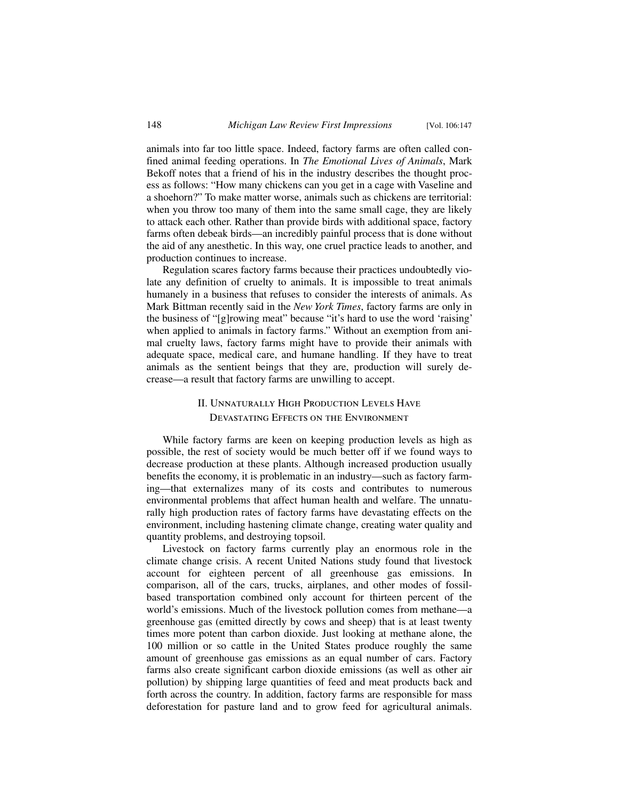animals into far too little space. Indeed, factory farms are often called confined animal feeding operations. In *The Emotional Lives of Animals*, Mark Bekoff notes that a friend of his in the industry describes the thought process as follows: "How many chickens can you get in a cage with Vaseline and a shoehorn?" To make matter worse, animals such as chickens are territorial: when you throw too many of them into the same small cage, they are likely to attack each other. Rather than provide birds with additional space, factory farms often debeak birds—an incredibly painful process that is done without the aid of any anesthetic. In this way, one cruel practice leads to another, and production continues to increase.

Regulation scares factory farms because their practices undoubtedly violate any definition of cruelty to animals. It is impossible to treat animals humanely in a business that refuses to consider the interests of animals. As Mark Bittman recently said in the *New York Times*, factory farms are only in the business of "[g]rowing meat" because "it's hard to use the word 'raising' when applied to animals in factory farms." Without an exemption from animal cruelty laws, factory farms might have to provide their animals with adequate space, medical care, and humane handling. If they have to treat animals as the sentient beings that they are, production will surely decrease—a result that factory farms are unwilling to accept.

### II. Unnaturally High Production Levels Have Devastating Effects on the Environment

While factory farms are keen on keeping production levels as high as possible, the rest of society would be much better off if we found ways to decrease production at these plants. Although increased production usually benefits the economy, it is problematic in an industry—such as factory farming—that externalizes many of its costs and contributes to numerous environmental problems that affect human health and welfare. The unnaturally high production rates of factory farms have devastating effects on the environment, including hastening climate change, creating water quality and quantity problems, and destroying topsoil.

Livestock on factory farms currently play an enormous role in the climate change crisis. A recent United Nations study found that livestock account for eighteen percent of all greenhouse gas emissions. In comparison, all of the cars, trucks, airplanes, and other modes of fossilbased transportation combined only account for thirteen percent of the world's emissions. Much of the livestock pollution comes from methane—a greenhouse gas (emitted directly by cows and sheep) that is at least twenty times more potent than carbon dioxide. Just looking at methane alone, the 100 million or so cattle in the United States produce roughly the same amount of greenhouse gas emissions as an equal number of cars. Factory farms also create significant carbon dioxide emissions (as well as other air pollution) by shipping large quantities of feed and meat products back and forth across the country. In addition, factory farms are responsible for mass deforestation for pasture land and to grow feed for agricultural animals.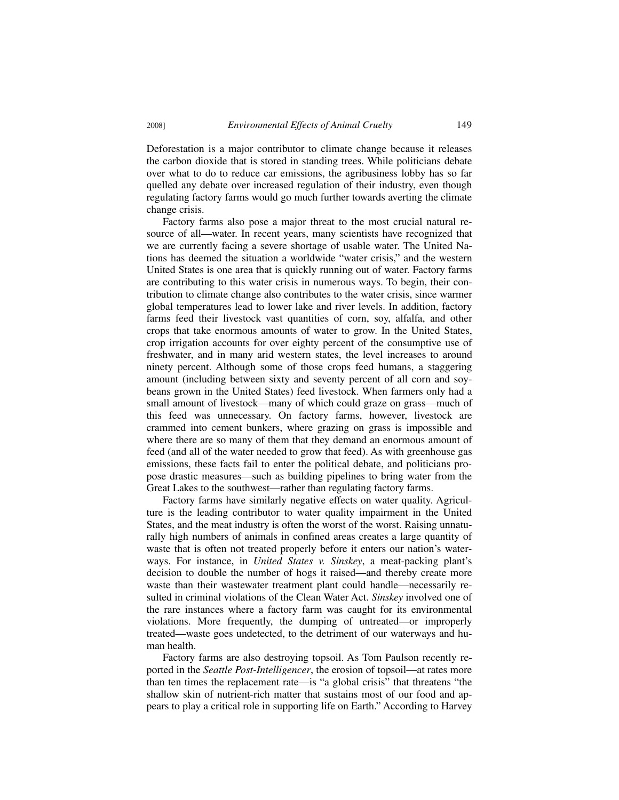Deforestation is a major contributor to climate change because it releases the carbon dioxide that is stored in standing trees. While politicians debate over what to do to reduce car emissions, the agribusiness lobby has so far quelled any debate over increased regulation of their industry, even though regulating factory farms would go much further towards averting the climate change crisis.

Factory farms also pose a major threat to the most crucial natural resource of all—water. In recent years, many scientists have recognized that we are currently facing a severe shortage of usable water. The United Nations has deemed the situation a worldwide "water crisis," and the western United States is one area that is quickly running out of water. Factory farms are contributing to this water crisis in numerous ways. To begin, their contribution to climate change also contributes to the water crisis, since warmer global temperatures lead to lower lake and river levels. In addition, factory farms feed their livestock vast quantities of corn, soy, alfalfa, and other crops that take enormous amounts of water to grow. In the United States, crop irrigation accounts for over eighty percent of the consumptive use of freshwater, and in many arid western states, the level increases to around ninety percent. Although some of those crops feed humans, a staggering amount (including between sixty and seventy percent of all corn and soybeans grown in the United States) feed livestock. When farmers only had a small amount of livestock—many of which could graze on grass—much of this feed was unnecessary. On factory farms, however, livestock are crammed into cement bunkers, where grazing on grass is impossible and where there are so many of them that they demand an enormous amount of feed (and all of the water needed to grow that feed). As with greenhouse gas emissions, these facts fail to enter the political debate, and politicians propose drastic measures—such as building pipelines to bring water from the Great Lakes to the southwest—rather than regulating factory farms.

Factory farms have similarly negative effects on water quality. Agriculture is the leading contributor to water quality impairment in the United States, and the meat industry is often the worst of the worst. Raising unnaturally high numbers of animals in confined areas creates a large quantity of waste that is often not treated properly before it enters our nation's waterways. For instance, in *United States v. Sinskey*, a meat-packing plant's decision to double the number of hogs it raised—and thereby create more waste than their wastewater treatment plant could handle—necessarily resulted in criminal violations of the Clean Water Act. *Sinskey* involved one of the rare instances where a factory farm was caught for its environmental violations. More frequently, the dumping of untreated—or improperly treated—waste goes undetected, to the detriment of our waterways and human health.

Factory farms are also destroying topsoil. As Tom Paulson recently reported in the *Seattle Post-Intelligencer*, the erosion of topsoil—at rates more than ten times the replacement rate—is "a global crisis" that threatens "the shallow skin of nutrient-rich matter that sustains most of our food and appears to play a critical role in supporting life on Earth." According to Harvey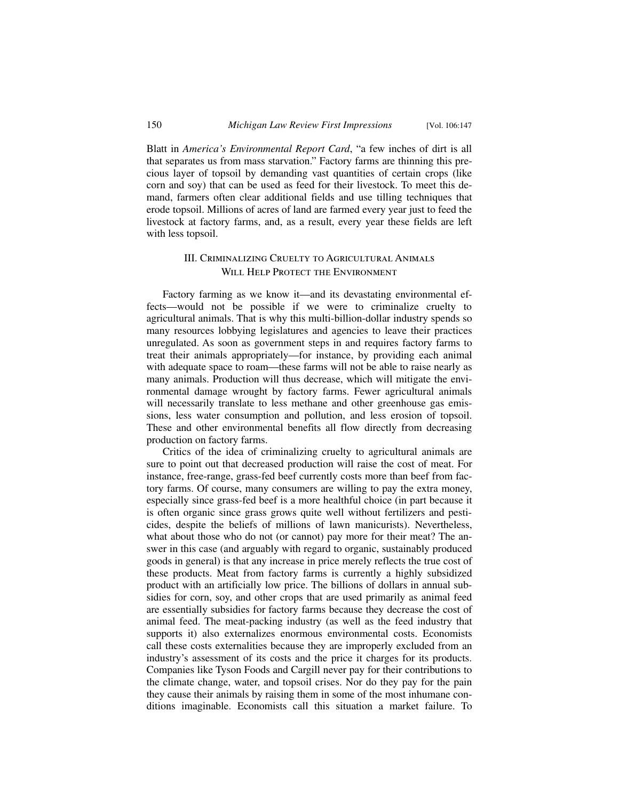Blatt in *America's Environmental Report Card*, "a few inches of dirt is all that separates us from mass starvation." Factory farms are thinning this precious layer of topsoil by demanding vast quantities of certain crops (like corn and soy) that can be used as feed for their livestock. To meet this demand, farmers often clear additional fields and use tilling techniques that erode topsoil. Millions of acres of land are farmed every year just to feed the livestock at factory farms, and, as a result, every year these fields are left with less topsoil.

### III. Criminalizing Cruelty to Agricultural Animals Will Help Protect the Environment

Factory farming as we know it—and its devastating environmental effects—would not be possible if we were to criminalize cruelty to agricultural animals. That is why this multi-billion-dollar industry spends so many resources lobbying legislatures and agencies to leave their practices unregulated. As soon as government steps in and requires factory farms to treat their animals appropriately—for instance, by providing each animal with adequate space to roam—these farms will not be able to raise nearly as many animals. Production will thus decrease, which will mitigate the environmental damage wrought by factory farms. Fewer agricultural animals will necessarily translate to less methane and other greenhouse gas emissions, less water consumption and pollution, and less erosion of topsoil. These and other environmental benefits all flow directly from decreasing production on factory farms.

Critics of the idea of criminalizing cruelty to agricultural animals are sure to point out that decreased production will raise the cost of meat. For instance, free-range, grass-fed beef currently costs more than beef from factory farms. Of course, many consumers are willing to pay the extra money, especially since grass-fed beef is a more healthful choice (in part because it is often organic since grass grows quite well without fertilizers and pesticides, despite the beliefs of millions of lawn manicurists). Nevertheless, what about those who do not (or cannot) pay more for their meat? The answer in this case (and arguably with regard to organic, sustainably produced goods in general) is that any increase in price merely reflects the true cost of these products. Meat from factory farms is currently a highly subsidized product with an artificially low price. The billions of dollars in annual subsidies for corn, soy, and other crops that are used primarily as animal feed are essentially subsidies for factory farms because they decrease the cost of animal feed. The meat-packing industry (as well as the feed industry that supports it) also externalizes enormous environmental costs. Economists call these costs externalities because they are improperly excluded from an industry's assessment of its costs and the price it charges for its products. Companies like Tyson Foods and Cargill never pay for their contributions to the climate change, water, and topsoil crises. Nor do they pay for the pain they cause their animals by raising them in some of the most inhumane conditions imaginable. Economists call this situation a market failure. To